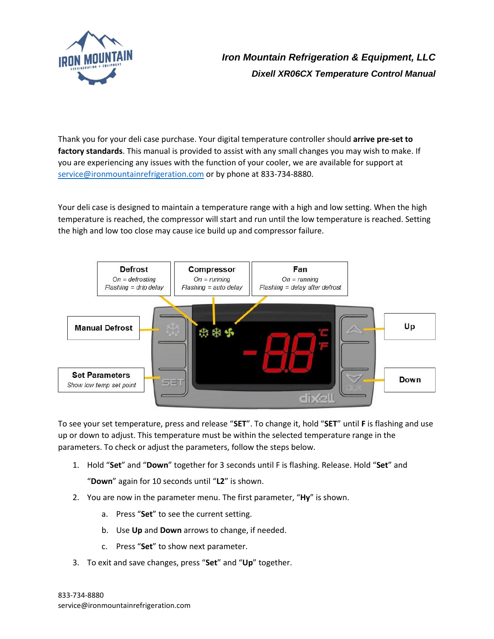

## *Iron Mountain Refrigeration & Equipment, LLC Dixell XR06CX Temperature Control Manual*

Thank you for your deli case purchase. Your digital temperature controller should **arrive pre-set to factory standards**. This manual is provided to assist with any small changes you may wish to make. If you are experiencing any issues with the function of your cooler, we are available for support at [service@ironmountainrefrigeration.com](mailto:service@ironmountainrefrigeration.com) or by phone at 833-734-8880.

Your deli case is designed to maintain a temperature range with a high and low setting. When the high temperature is reached, the compressor will start and run until the low temperature is reached. Setting the high and low too close may cause ice build up and compressor failure.



To see your set temperature, press and release "**SET**". To change it, hold "**SET**" until **F** is flashing and use up or down to adjust. This temperature must be within the selected temperature range in the parameters. To check or adjust the parameters, follow the steps below.

1. Hold "**Set**" and "**Down**" together for 3 seconds until F is flashing. Release. Hold "**Set**" and

"**Down**" again for 10 seconds until "**L2**" is shown.

- 2. You are now in the parameter menu. The first parameter, "**Hy**" is shown.
	- a. Press "**Set**" to see the current setting.
	- b. Use **Up** and **Down** arrows to change, if needed.
	- c. Press "**Set**" to show next parameter.
- 3. To exit and save changes, press "**Set**" and "**Up**" together.